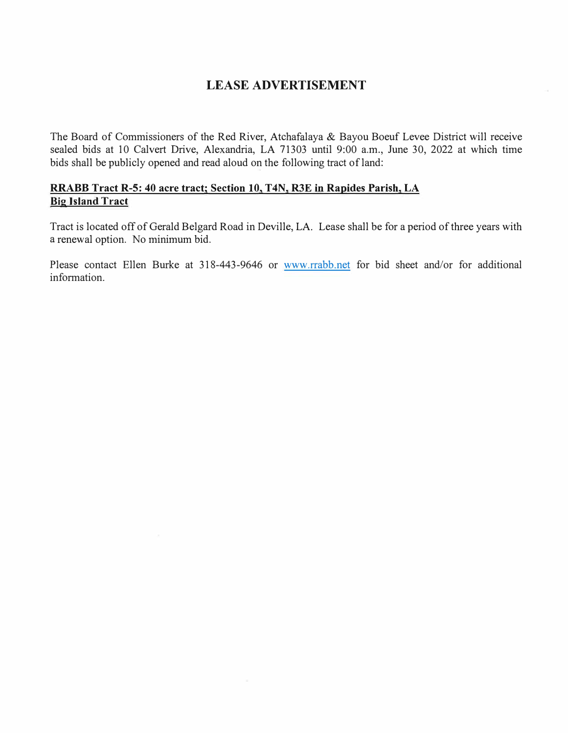### **LEASE ADVERTISEMENT**

The Board of Commissioners of the Red River, Atchafalaya & Bayou Boeuf Levee District will receive sealed bids at 10 Calvert Drive, Alexandria, LA 71303 until 9:00 a.m., June 30, 2022 at which time bids shall be publicly opened and read aloud on the following tract of land:

#### **RRABB Tract R-5: 40 acre tract; Section 10, T4N, R3E in Rapides Parish, LA Big Island Tract**

Tract is located off of Gerald Belgard Road in Deville, LA. Lease shall be for a period of three years with a renewal option. No minimum bid.

Please contact Ellen Burke at 318-443-9646 or www.rrabb.net for bid sheet and/or for additional information.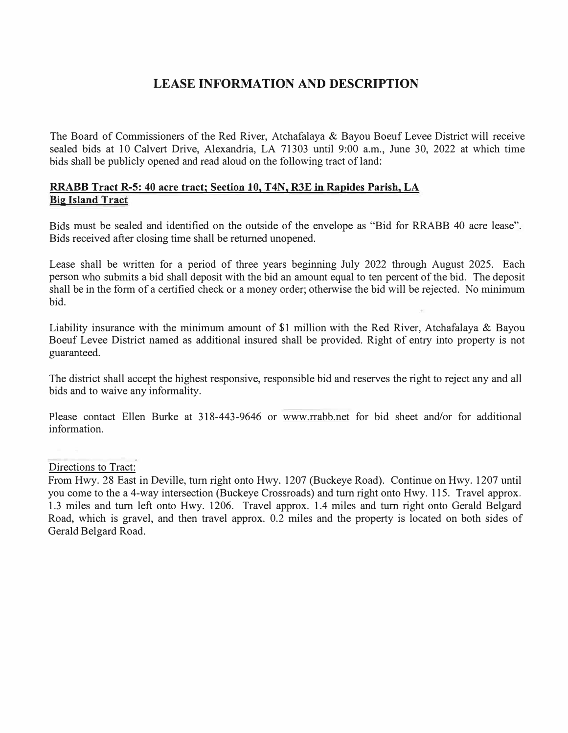## **LEASE INFORMATION AND DESCRIPTION**

The Board of Commissioners of the Red River, Atchafalaya & Bayou Boeuf Levee District will receive sealed bids at 10 Calvert Drive, Alexandria, LA 71303 until 9:00 a.m., June 30, 2022 at which time bids shall be publicly opened and read aloud on the following tract of land:

#### **RRABB Tract R-5: 40 acre tract; Section 10, T4N, R3E in Rapides Parish, LA Big Island Tract**

Bids must be sealed and identified on the outside of the envelope as "Bid for RRABB 40 acre lease". Bids received after closing time shall be returned unopened.

Lease shall be written for a period of three years beginning July 2022 through August 2025. Each person who submits a bid shall deposit with the bid an amount equal to ten percent of the bid. The deposit shall be in the form of a certified check or a money order; otherwise the bid will be rejected. No minimum bid.

Liability insurance with the minimum amount of \$1 million with the Red River, Atchafalaya & Bayou Boeuf Levee District named as additional insured shall be provided. Right of entry into property is not guaranteed.

The district shall accept the highest responsive, responsible bid and reserves the right to reject any and all bids and to waive any informality.

Please contact Ellen Burke at 318-443-9646 or www.rrabb.net for bid sheet and/or for additional information.

#### Directions to Tract:

From Hwy. 28 East in Deville, turn right onto Hwy. 1207 (Buckeye Road). Continue on Hwy. 1207 until you come to the a 4-way intersection (Buckeye Crossroads) and turn right onto Hwy. 115. Travel approx. 1.3 miles and turn left onto Hwy. 1206. Travel approx. 1.4 miles and turn right onto Gerald Belgard Road, which is gravel, and then travel approx. 0.2 miles and the property is located on both sides of Gerald Belgard Road.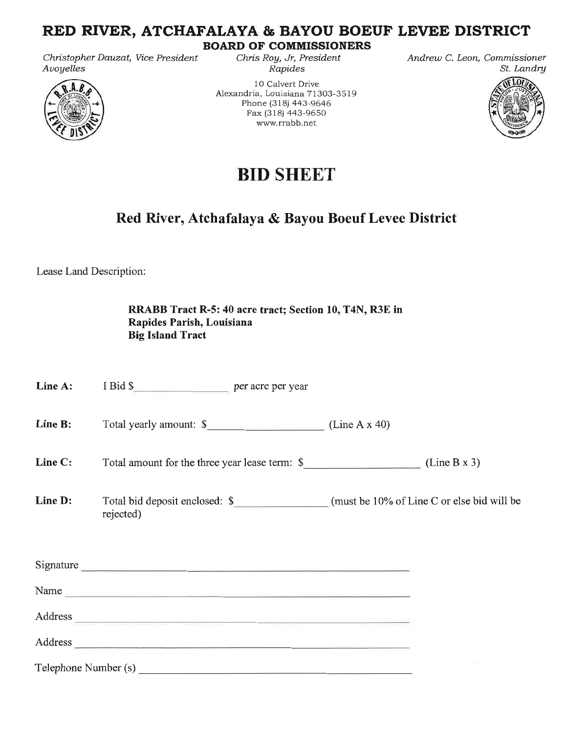## RED RIVER, ATCHAFALAYA & BAYOU BOEUF LEVEE DISTRICT

Christopher Dauzat, Vice President Avoyelles



**BOARD OF COMMISSIONERS** Chris Roy, Jr, President

Rapides 10 Calvert Drive Alexandria, Louisiana 71303-3519 Phone (318) 443-9646 Fax (318) 443-9650 www.rrabb.net

Andrew C. Leon, Commissioner St. Landry



# **BID SHEET**

# Red River, Atchafalaya & Bayou Boeuf Levee District

Lease Land Description:

|                      | RRABB Tract R-5: 40 acre tract; Section 10, T4N, R3E in<br>Rapides Parish, Louisiana<br><b>Big Island Tract</b>                                                                                                                |  |
|----------------------|--------------------------------------------------------------------------------------------------------------------------------------------------------------------------------------------------------------------------------|--|
| Line A:              | I Bid \$                                                                                                                                                                                                                       |  |
| Line B:              | Total yearly amount: \$ (Line A x 40)                                                                                                                                                                                          |  |
| Line C:              | Total amount for the three year lease term: $\frac{1}{2}$ (Line B x 3)                                                                                                                                                         |  |
| Line D:              | rejected)                                                                                                                                                                                                                      |  |
|                      | Signature                                                                                                                                                                                                                      |  |
|                      |                                                                                                                                                                                                                                |  |
|                      | Address experience and the contract of the contract of the contract of the contract of the contract of the contract of the contract of the contract of the contract of the contract of the contract of the contract of the con |  |
|                      | Address and the contract of the contract of the contract of the contract of the contract of the contract of the contract of the contract of the contract of the contract of the contract of the contract of the contract of th |  |
| Telephone Number (s) |                                                                                                                                                                                                                                |  |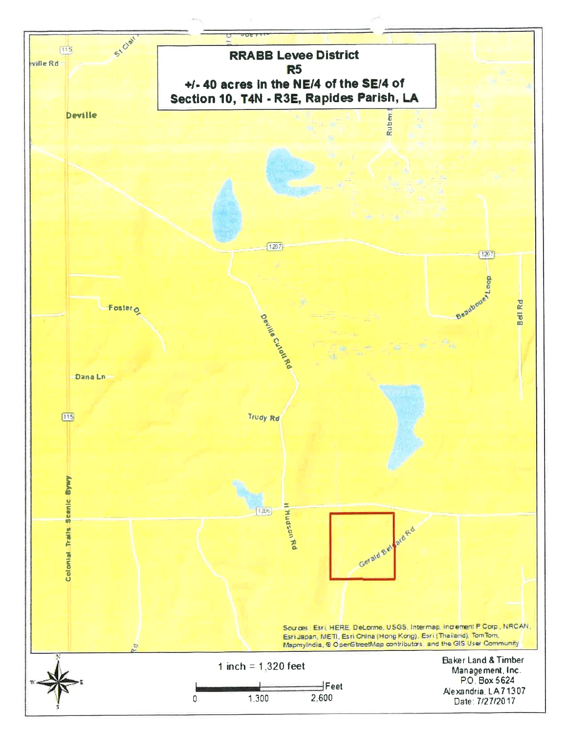